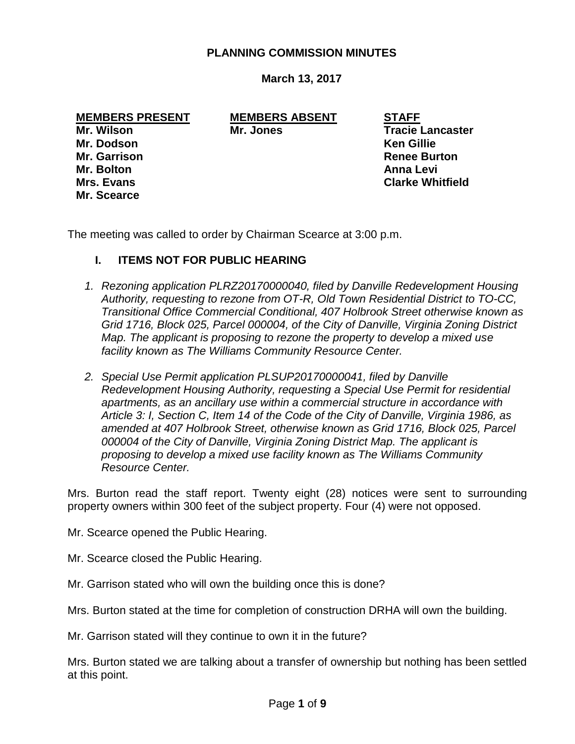### **PLANNING COMMISSION MINUTES**

### **March 13, 2017**

**Mr. Scearce**

**MEMBERS PRESENT MEMBERS ABSENT STAFF**

**Mr. Wilson Mr. Jones Tracie Lancaster Mr. Dodson Ken Gillie Mr. Garrison Renee Burton Mr. Bolton Anna Levi Mrs. Evans Clarke Whitfield**

The meeting was called to order by Chairman Scearce at 3:00 p.m.

### **I. ITEMS NOT FOR PUBLIC HEARING**

- *1. Rezoning application PLRZ20170000040, filed by Danville Redevelopment Housing Authority, requesting to rezone from OT-R, Old Town Residential District to TO-CC, Transitional Office Commercial Conditional, 407 Holbrook Street otherwise known as Grid 1716, Block 025, Parcel 000004, of the City of Danville, Virginia Zoning District Map. The applicant is proposing to rezone the property to develop a mixed use facility known as The Williams Community Resource Center.*
- *2. Special Use Permit application PLSUP20170000041, filed by Danville Redevelopment Housing Authority, requesting a Special Use Permit for residential apartments, as an ancillary use within a commercial structure in accordance with Article 3: I, Section C, Item 14 of the Code of the City of Danville, Virginia 1986, as amended at 407 Holbrook Street, otherwise known as Grid 1716, Block 025, Parcel 000004 of the City of Danville, Virginia Zoning District Map. The applicant is proposing to develop a mixed use facility known as The Williams Community Resource Center.*

Mrs. Burton read the staff report. Twenty eight (28) notices were sent to surrounding property owners within 300 feet of the subject property. Four (4) were not opposed.

Mr. Scearce opened the Public Hearing.

- Mr. Scearce closed the Public Hearing.
- Mr. Garrison stated who will own the building once this is done?

Mrs. Burton stated at the time for completion of construction DRHA will own the building.

Mr. Garrison stated will they continue to own it in the future?

Mrs. Burton stated we are talking about a transfer of ownership but nothing has been settled at this point.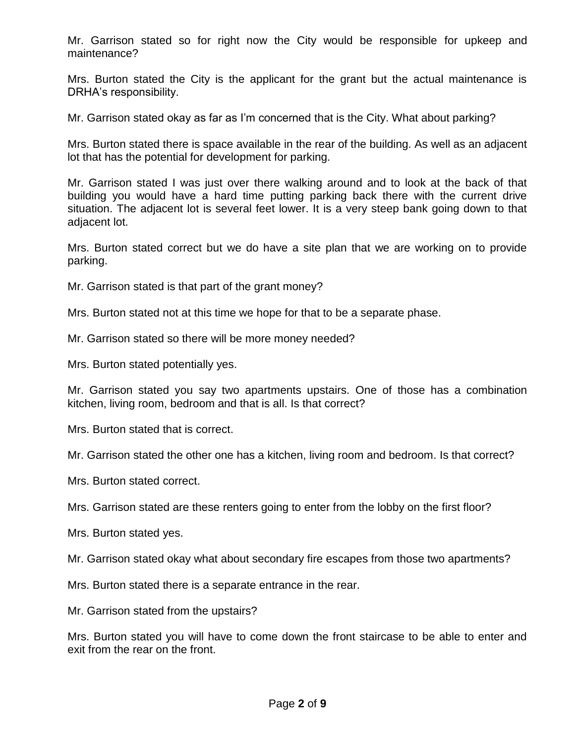Mr. Garrison stated so for right now the City would be responsible for upkeep and maintenance?

Mrs. Burton stated the City is the applicant for the grant but the actual maintenance is DRHA's responsibility.

Mr. Garrison stated okay as far as I'm concerned that is the City. What about parking?

Mrs. Burton stated there is space available in the rear of the building. As well as an adjacent lot that has the potential for development for parking.

Mr. Garrison stated I was just over there walking around and to look at the back of that building you would have a hard time putting parking back there with the current drive situation. The adjacent lot is several feet lower. It is a very steep bank going down to that adjacent lot.

Mrs. Burton stated correct but we do have a site plan that we are working on to provide parking.

Mr. Garrison stated is that part of the grant money?

Mrs. Burton stated not at this time we hope for that to be a separate phase.

Mr. Garrison stated so there will be more money needed?

Mrs. Burton stated potentially yes.

Mr. Garrison stated you say two apartments upstairs. One of those has a combination kitchen, living room, bedroom and that is all. Is that correct?

Mrs. Burton stated that is correct.

Mr. Garrison stated the other one has a kitchen, living room and bedroom. Is that correct?

Mrs. Burton stated correct.

Mrs. Garrison stated are these renters going to enter from the lobby on the first floor?

Mrs. Burton stated yes.

Mr. Garrison stated okay what about secondary fire escapes from those two apartments?

Mrs. Burton stated there is a separate entrance in the rear.

Mr. Garrison stated from the upstairs?

Mrs. Burton stated you will have to come down the front staircase to be able to enter and exit from the rear on the front.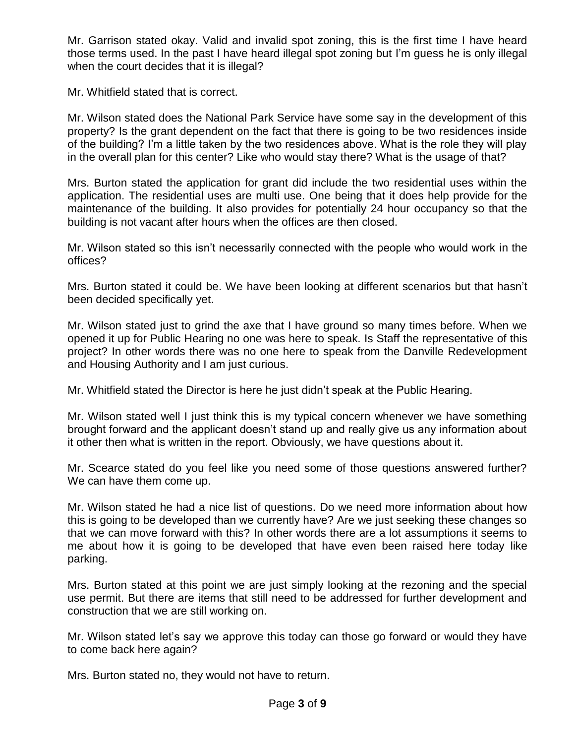Mr. Garrison stated okay. Valid and invalid spot zoning, this is the first time I have heard those terms used. In the past I have heard illegal spot zoning but I'm guess he is only illegal when the court decides that it is illegal?

Mr. Whitfield stated that is correct.

Mr. Wilson stated does the National Park Service have some say in the development of this property? Is the grant dependent on the fact that there is going to be two residences inside of the building? I'm a little taken by the two residences above. What is the role they will play in the overall plan for this center? Like who would stay there? What is the usage of that?

Mrs. Burton stated the application for grant did include the two residential uses within the application. The residential uses are multi use. One being that it does help provide for the maintenance of the building. It also provides for potentially 24 hour occupancy so that the building is not vacant after hours when the offices are then closed.

Mr. Wilson stated so this isn't necessarily connected with the people who would work in the offices?

Mrs. Burton stated it could be. We have been looking at different scenarios but that hasn't been decided specifically yet.

Mr. Wilson stated just to grind the axe that I have ground so many times before. When we opened it up for Public Hearing no one was here to speak. Is Staff the representative of this project? In other words there was no one here to speak from the Danville Redevelopment and Housing Authority and I am just curious.

Mr. Whitfield stated the Director is here he just didn't speak at the Public Hearing.

Mr. Wilson stated well I just think this is my typical concern whenever we have something brought forward and the applicant doesn't stand up and really give us any information about it other then what is written in the report. Obviously, we have questions about it.

Mr. Scearce stated do you feel like you need some of those questions answered further? We can have them come up.

Mr. Wilson stated he had a nice list of questions. Do we need more information about how this is going to be developed than we currently have? Are we just seeking these changes so that we can move forward with this? In other words there are a lot assumptions it seems to me about how it is going to be developed that have even been raised here today like parking.

Mrs. Burton stated at this point we are just simply looking at the rezoning and the special use permit. But there are items that still need to be addressed for further development and construction that we are still working on.

Mr. Wilson stated let's say we approve this today can those go forward or would they have to come back here again?

Mrs. Burton stated no, they would not have to return.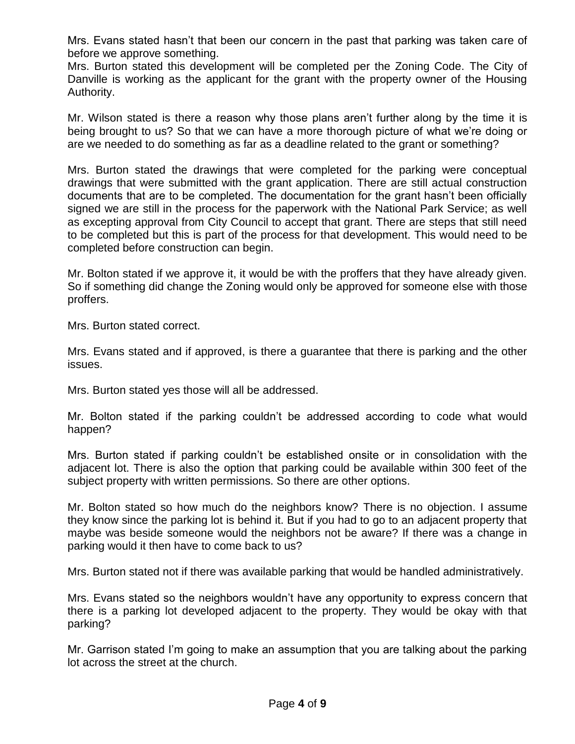Mrs. Evans stated hasn't that been our concern in the past that parking was taken care of before we approve something.

Mrs. Burton stated this development will be completed per the Zoning Code. The City of Danville is working as the applicant for the grant with the property owner of the Housing Authority.

Mr. Wilson stated is there a reason why those plans aren't further along by the time it is being brought to us? So that we can have a more thorough picture of what we're doing or are we needed to do something as far as a deadline related to the grant or something?

Mrs. Burton stated the drawings that were completed for the parking were conceptual drawings that were submitted with the grant application. There are still actual construction documents that are to be completed. The documentation for the grant hasn't been officially signed we are still in the process for the paperwork with the National Park Service; as well as excepting approval from City Council to accept that grant. There are steps that still need to be completed but this is part of the process for that development. This would need to be completed before construction can begin.

Mr. Bolton stated if we approve it, it would be with the proffers that they have already given. So if something did change the Zoning would only be approved for someone else with those proffers.

Mrs. Burton stated correct.

Mrs. Evans stated and if approved, is there a guarantee that there is parking and the other issues.

Mrs. Burton stated yes those will all be addressed.

Mr. Bolton stated if the parking couldn't be addressed according to code what would happen?

Mrs. Burton stated if parking couldn't be established onsite or in consolidation with the adjacent lot. There is also the option that parking could be available within 300 feet of the subject property with written permissions. So there are other options.

Mr. Bolton stated so how much do the neighbors know? There is no objection. I assume they know since the parking lot is behind it. But if you had to go to an adjacent property that maybe was beside someone would the neighbors not be aware? If there was a change in parking would it then have to come back to us?

Mrs. Burton stated not if there was available parking that would be handled administratively.

Mrs. Evans stated so the neighbors wouldn't have any opportunity to express concern that there is a parking lot developed adjacent to the property. They would be okay with that parking?

Mr. Garrison stated I'm going to make an assumption that you are talking about the parking lot across the street at the church.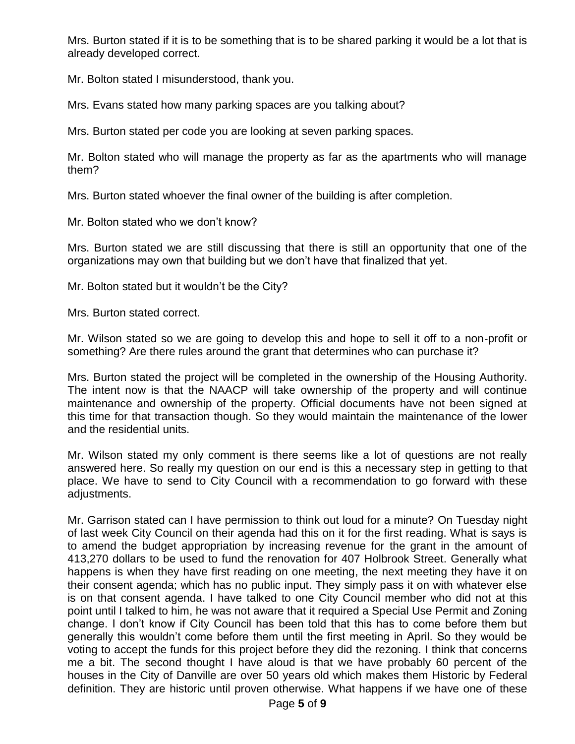Mrs. Burton stated if it is to be something that is to be shared parking it would be a lot that is already developed correct.

Mr. Bolton stated I misunderstood, thank you.

Mrs. Evans stated how many parking spaces are you talking about?

Mrs. Burton stated per code you are looking at seven parking spaces.

Mr. Bolton stated who will manage the property as far as the apartments who will manage them?

Mrs. Burton stated whoever the final owner of the building is after completion.

Mr. Bolton stated who we don't know?

Mrs. Burton stated we are still discussing that there is still an opportunity that one of the organizations may own that building but we don't have that finalized that yet.

Mr. Bolton stated but it wouldn't be the City?

Mrs. Burton stated correct.

Mr. Wilson stated so we are going to develop this and hope to sell it off to a non-profit or something? Are there rules around the grant that determines who can purchase it?

Mrs. Burton stated the project will be completed in the ownership of the Housing Authority. The intent now is that the NAACP will take ownership of the property and will continue maintenance and ownership of the property. Official documents have not been signed at this time for that transaction though. So they would maintain the maintenance of the lower and the residential units.

Mr. Wilson stated my only comment is there seems like a lot of questions are not really answered here. So really my question on our end is this a necessary step in getting to that place. We have to send to City Council with a recommendation to go forward with these adjustments.

Mr. Garrison stated can I have permission to think out loud for a minute? On Tuesday night of last week City Council on their agenda had this on it for the first reading. What is says is to amend the budget appropriation by increasing revenue for the grant in the amount of 413,270 dollars to be used to fund the renovation for 407 Holbrook Street. Generally what happens is when they have first reading on one meeting, the next meeting they have it on their consent agenda; which has no public input. They simply pass it on with whatever else is on that consent agenda. I have talked to one City Council member who did not at this point until I talked to him, he was not aware that it required a Special Use Permit and Zoning change. I don't know if City Council has been told that this has to come before them but generally this wouldn't come before them until the first meeting in April. So they would be voting to accept the funds for this project before they did the rezoning. I think that concerns me a bit. The second thought I have aloud is that we have probably 60 percent of the houses in the City of Danville are over 50 years old which makes them Historic by Federal definition. They are historic until proven otherwise. What happens if we have one of these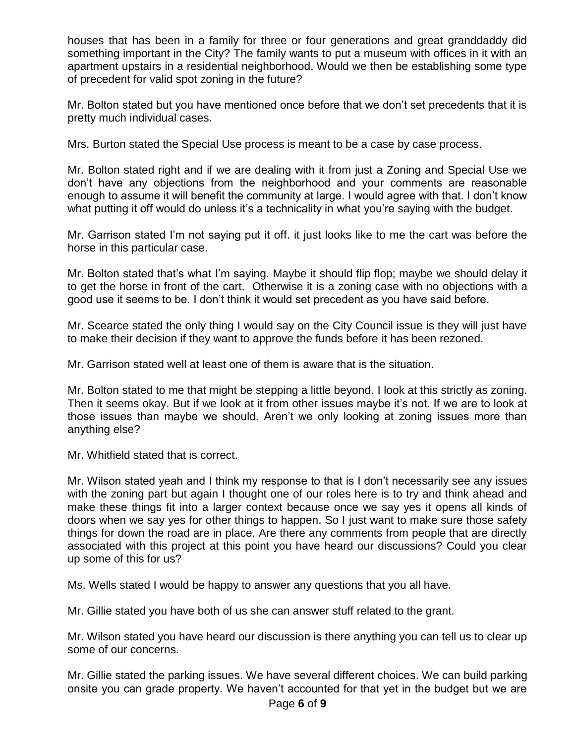houses that has been in a family for three or four generations and great granddaddy did something important in the City? The family wants to put a museum with offices in it with an apartment upstairs in a residential neighborhood. Would we then be establishing some type of precedent for valid spot zoning in the future?

Mr. Bolton stated but you have mentioned once before that we don't set precedents that it is pretty much individual cases.

Mrs. Burton stated the Special Use process is meant to be a case by case process.

Mr. Bolton stated right and if we are dealing with it from just a Zoning and Special Use we don't have any objections from the neighborhood and your comments are reasonable enough to assume it will benefit the community at large. I would agree with that. I don't know what putting it off would do unless it's a technicality in what you're saying with the budget.

Mr. Garrison stated I'm not saying put it off. it just looks like to me the cart was before the horse in this particular case.

Mr. Bolton stated that's what I'm saying. Maybe it should flip flop; maybe we should delay it to get the horse in front of the cart. Otherwise it is a zoning case with no objections with a good use it seems to be. I don't think it would set precedent as you have said before.

Mr. Scearce stated the only thing I would say on the City Council issue is they will just have to make their decision if they want to approve the funds before it has been rezoned.

Mr. Garrison stated well at least one of them is aware that is the situation.

Mr. Bolton stated to me that might be stepping a little beyond. I look at this strictly as zoning. Then it seems okay. But if we look at it from other issues maybe it's not. If we are to look at those issues than maybe we should. Aren't we only looking at zoning issues more than anything else?

Mr. Whitfield stated that is correct.

Mr. Wilson stated yeah and I think my response to that is I don't necessarily see any issues with the zoning part but again I thought one of our roles here is to try and think ahead and make these things fit into a larger context because once we say yes it opens all kinds of doors when we say yes for other things to happen. So I just want to make sure those safety things for down the road are in place. Are there any comments from people that are directly associated with this project at this point you have heard our discussions? Could you clear up some of this for us?

Ms. Wells stated I would be happy to answer any questions that you all have.

Mr. Gillie stated you have both of us she can answer stuff related to the grant.

Mr. Wilson stated you have heard our discussion is there anything you can tell us to clear up some of our concerns.

Mr. Gillie stated the parking issues. We have several different choices. We can build parking onsite you can grade property. We haven't accounted for that yet in the budget but we are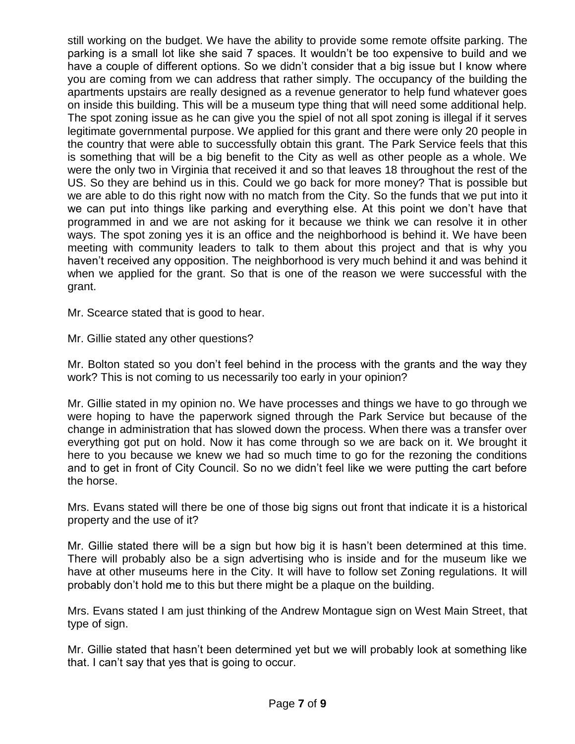still working on the budget. We have the ability to provide some remote offsite parking. The parking is a small lot like she said 7 spaces. It wouldn't be too expensive to build and we have a couple of different options. So we didn't consider that a big issue but I know where you are coming from we can address that rather simply. The occupancy of the building the apartments upstairs are really designed as a revenue generator to help fund whatever goes on inside this building. This will be a museum type thing that will need some additional help. The spot zoning issue as he can give you the spiel of not all spot zoning is illegal if it serves legitimate governmental purpose. We applied for this grant and there were only 20 people in the country that were able to successfully obtain this grant. The Park Service feels that this is something that will be a big benefit to the City as well as other people as a whole. We were the only two in Virginia that received it and so that leaves 18 throughout the rest of the US. So they are behind us in this. Could we go back for more money? That is possible but we are able to do this right now with no match from the City. So the funds that we put into it we can put into things like parking and everything else. At this point we don't have that programmed in and we are not asking for it because we think we can resolve it in other ways. The spot zoning yes it is an office and the neighborhood is behind it. We have been meeting with community leaders to talk to them about this project and that is why you haven't received any opposition. The neighborhood is very much behind it and was behind it when we applied for the grant. So that is one of the reason we were successful with the grant.

Mr. Scearce stated that is good to hear.

Mr. Gillie stated any other questions?

Mr. Bolton stated so you don't feel behind in the process with the grants and the way they work? This is not coming to us necessarily too early in your opinion?

Mr. Gillie stated in my opinion no. We have processes and things we have to go through we were hoping to have the paperwork signed through the Park Service but because of the change in administration that has slowed down the process. When there was a transfer over everything got put on hold. Now it has come through so we are back on it. We brought it here to you because we knew we had so much time to go for the rezoning the conditions and to get in front of City Council. So no we didn't feel like we were putting the cart before the horse.

Mrs. Evans stated will there be one of those big signs out front that indicate it is a historical property and the use of it?

Mr. Gillie stated there will be a sign but how big it is hasn't been determined at this time. There will probably also be a sign advertising who is inside and for the museum like we have at other museums here in the City. It will have to follow set Zoning regulations. It will probably don't hold me to this but there might be a plaque on the building.

Mrs. Evans stated I am just thinking of the Andrew Montague sign on West Main Street, that type of sign.

Mr. Gillie stated that hasn't been determined yet but we will probably look at something like that. I can't say that yes that is going to occur.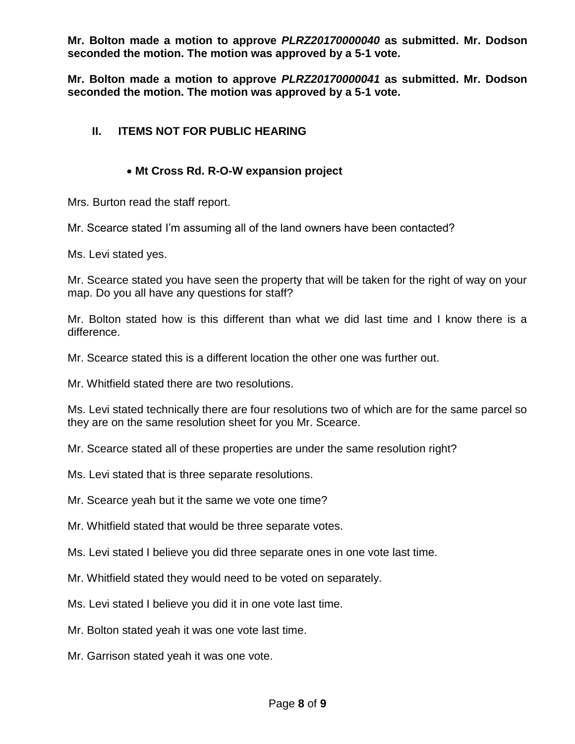**Mr. Bolton made a motion to approve** *PLRZ20170000040* **as submitted. Mr. Dodson seconded the motion. The motion was approved by a 5-1 vote.**

**Mr. Bolton made a motion to approve** *PLRZ20170000041* **as submitted. Mr. Dodson seconded the motion. The motion was approved by a 5-1 vote.**

## **II. ITEMS NOT FOR PUBLIC HEARING**

## **Mt Cross Rd. R-O-W expansion project**

Mrs. Burton read the staff report.

Mr. Scearce stated I'm assuming all of the land owners have been contacted?

Ms. Levi stated yes.

Mr. Scearce stated you have seen the property that will be taken for the right of way on your map. Do you all have any questions for staff?

Mr. Bolton stated how is this different than what we did last time and I know there is a difference.

Mr. Scearce stated this is a different location the other one was further out.

Mr. Whitfield stated there are two resolutions.

Ms. Levi stated technically there are four resolutions two of which are for the same parcel so they are on the same resolution sheet for you Mr. Scearce.

Mr. Scearce stated all of these properties are under the same resolution right?

Ms. Levi stated that is three separate resolutions.

Mr. Scearce yeah but it the same we vote one time?

Mr. Whitfield stated that would be three separate votes.

Ms. Levi stated I believe you did three separate ones in one vote last time.

Mr. Whitfield stated they would need to be voted on separately.

Ms. Levi stated I believe you did it in one vote last time.

Mr. Bolton stated yeah it was one vote last time.

Mr. Garrison stated yeah it was one vote.